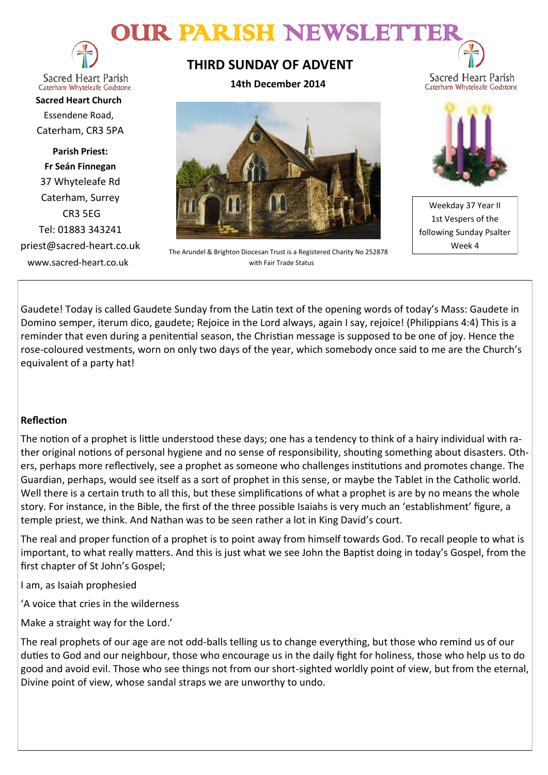# OUR PARISH NEWSLETT



**Sacred Heart Parish** Caterham Whyteleafe Godstone

**Sacred Heart Church** Essendene Road, Caterham, CR3 5PA

**Parish Priest: Fr Seán Finnegan** 37 Whyteleafe Rd Caterham, Surrey CR3 5EG Tel: 01883 343241 priest@sacred-heart.co.uk www.sacred-heart.co.uk

# **THIRD SUNDAY OF ADVENT**

**14th December 2014**



The Arundel & Brighton Diocesan Trust is a Registered Charity No 252878 with Fair Trade Status



Sacred Heart Parish

Weekday 37 Year II 1st Vespers of the following Sunday Psalter Week 4

Gaudete! Today is called Gaudete Sunday from the Latin text of the opening words of today's Mass: Gaudete in Domino semper, iterum dico, gaudete; Rejoice in the Lord always, again I say, rejoice! (Philippians 4:4) This is a reminder that even during a penitential season, the Christian message is supposed to be one of joy. Hence the rose-coloured vestments, worn on only two days of the year, which somebody once said to me are the Church's equivalent of a party hat!

# **Reflection**

The notion of a prophet is little understood these days; one has a tendency to think of a hairy individual with rather original notions of personal hygiene and no sense of responsibility, shouting something about disasters. Others, perhaps more reflectively, see a prophet as someone who challenges institutions and promotes change. The Guardian, perhaps, would see itself as a sort of prophet in this sense, or maybe the Tablet in the Catholic world. Well there is a certain truth to all this, but these simplifications of what a prophet is are by no means the whole story. For instance, in the Bible, the first of the three possible Isaiahs is very much an 'establishment' figure, a temple priest, we think. And Nathan was to be seen rather a lot in King David's court.

The real and proper function of a prophet is to point away from himself towards God. To recall people to what is important, to what really matters. And this is just what we see John the Baptist doing in today's Gospel, from the first chapter of St John's Gospel;

I am, as Isaiah prophesied

'A voice that cries in the wilderness

Make a straight way for the Lord.'

The real prophets of our age are not odd-balls telling us to change everything, but those who remind us of our duties to God and our neighbour, those who encourage us in the daily fight for holiness, those who help us to do good and avoid evil. Those who see things not from our short-sighted worldly point of view, but from the eternal, Divine point of view, whose sandal straps we are unworthy to undo.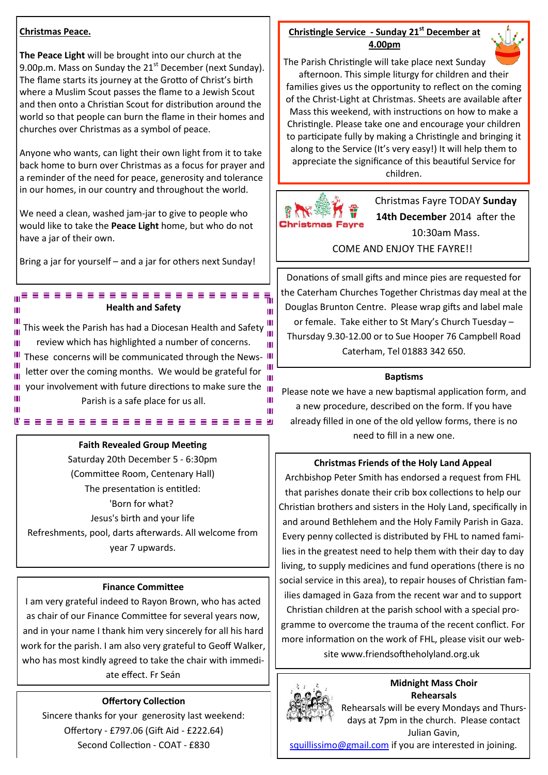#### **Christmas Peace.**

**The Peace Light** will be brought into our church at the 9.00p.m. Mass on Sunday the  $21<sup>st</sup>$  December (next Sunday). The flame starts its journey at the Grotto of Christ's birth where a Muslim Scout passes the flame to a Jewish Scout and then onto a Christian Scout for distribution around the world so that people can burn the flame in their homes and churches over Christmas as a symbol of peace.

Anyone who wants, can light their own light from it to take back home to burn over Christmas as a focus for prayer and a reminder of the need for peace, generosity and tolerance in our homes, in our country and throughout the world.

We need a clean, washed jam-jar to give to people who would like to take the **Peace Light** home, but who do not have a jar of their own.

Bring a jar for yourself – and a jar for others next Sunday!

,,,,,,,,,,,,,,,,,,,,,,,,

#### **Health and Safety**

This week the Parish has had a Diocesan Health and Safety ... review which has highlighted a number of concerns. Ш III These concerns will be communicated through the News-III Ш letter over the coming months. We would be grateful for Ш your involvement with future directions to make sure the  $\|$ Ш Ш Parish is a safe place for us all. Ш

#### **Faith Revealed Group Meeting**

........................

Saturday 20th December 5 - 6:30pm (Committee Room, Centenary Hall) The presentation is entitled: 'Born for what? Jesus's birth and your life Refreshments, pool, darts afterwards. All welcome from year 7 upwards.

#### **Finance Committee**

I am very grateful indeed to Rayon Brown, who has acted as chair of our Finance Committee for several years now, and in your name I thank him very sincerely for all his hard work for the parish. I am also very grateful to Geoff Walker, who has most kindly agreed to take the chair with immediate effect. Fr Seán

#### **Offertory Collection**

Sincere thanks for your generosity last weekend: Offertory - £797.06 (Gift Aid - £222.64) Second Collection - COAT - £830

#### **Christingle Service - Sunday 21st December at 4.00pm**



The Parish Christingle will take place next Sunday afternoon. This simple liturgy for children and their families gives us the opportunity to reflect on the coming of the Christ-Light at Christmas. Sheets are available after Mass this weekend, with instructions on how to make a Christingle. Please take one and encourage your children to participate fully by making a Christingle and bringing it along to the Service (It's very easy!) It will help them to appreciate the significance of this beautiful Service for children.



ш

ш

Ш

ш

Christmas Fayre TODAY **Sunday 14th December** 2014 after the 10:30am Mass. COME AND ENJOY THE FAYRE!!

Donations of small gifts and mince pies are requested for the Caterham Churches Together Christmas day meal at the Douglas Brunton Centre. Please wrap gifts and label male or female. Take either to St Mary's Church Tuesday – Thursday 9.30-12.00 or to Sue Hooper 76 Campbell Road Caterham, Tel 01883 342 650.

#### **Baptisms**

Please note we have a new baptismal application form, and a new procedure, described on the form. If you have already filled in one of the old yellow forms, there is no need to fill in a new one.

#### **Christmas Friends of the Holy Land Appeal**

Archbishop Peter Smith has endorsed a request from FHL that parishes donate their crib box collections to help our Christian brothers and sisters in the Holy Land, specifically in and around Bethlehem and the Holy Family Parish in Gaza. Every penny collected is distributed by FHL to named families in the greatest need to help them with their day to day living, to supply medicines and fund operations (there is no social service in this area), to repair houses of Christian families damaged in Gaza from the recent war and to support Christian children at the parish school with a special programme to overcome the trauma of the recent conflict. For more information on the work of FHL, please visit our website www.friendsoftheholyland.org.uk



# **Midnight Mass Choir Rehearsals**

Rehearsals will be every Mondays and Thursdays at 7pm in the church. Please contact Julian Gavin,

[squillissimo@gmail.com](mailto:squillissimo@gmail.com) if you are interested in joining.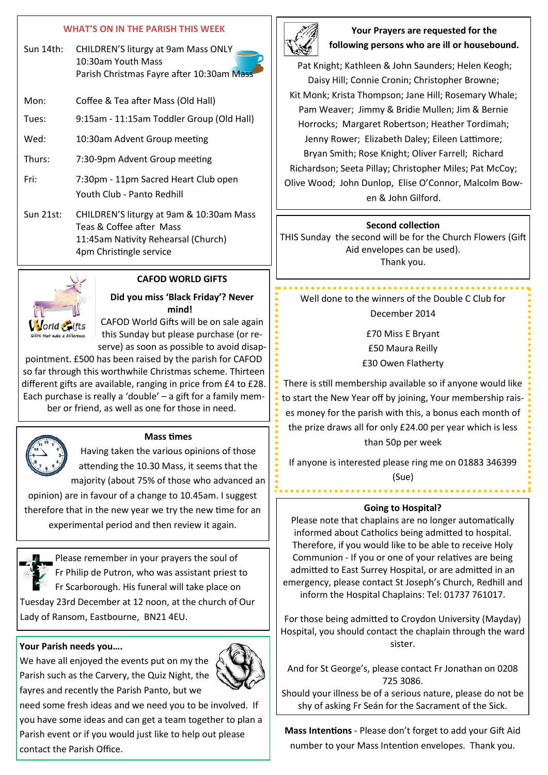#### **WHAT'S ON IN THE PARISH THIS WEEK**

| Sun 14th: | CHILDREN'S liturgy at 9am Mass ONLY       |
|-----------|-------------------------------------------|
|           | 10:30am Youth Mass                        |
|           | Parish Christmas Fayre after 10:30am Mass |

| Mon:  | Coffee & Tea after Mass (Old Hall)        |
|-------|-------------------------------------------|
| Tues: | 9:15am - 11:15am Toddler Group (Old Hall) |

- Wed: 10:30am Advent Group meeting
- Thurs: 7:30-9pm Advent Group meeting
- Fri: 7:30pm 11pm Sacred Heart Club open Youth Club - Panto Redhill
- Sun 21st: CHILDREN'S liturgy at 9am & 10:30am Mass Teas & Coffee after Mass 11:45am Nativity Rehearsal (Church) 4pm Christingle service



# **CAFOD WORLD GIFTS**

## **Did you miss 'Black Friday'? Never mind!**

CAFOD World Gifts will be on sale again this Sunday but please purchase (or reserve) as soon as possible to avoid disap-

pointment. £500 has been raised by the parish for CAFOD so far through this worthwhile Christmas scheme. Thirteen different gifts are available, ranging in price from £4 to £28. Each purchase is really a 'double' – a gift for a family member or friend, as well as one for those in need.



### **Mass times**

Having taken the various opinions of those attending the 10.30 Mass, it seems that the majority (about 75% of those who advanced an

opinion) are in favour of a change to 10.45am. I suggest therefore that in the new year we try the new time for an experimental period and then review it again.

Please remember in your prayers the soul of Fr Philip de Putron, who was assistant priest to Fr Scarborough. His funeral will take place on Tuesday 23rd December at 12 noon, at the church of Our Lady of Ransom, Eastbourne, BN21 4EU.

# **Your Parish needs you….**

We have all enjoyed the events put on my the Parish such as the Carvery, the Quiz Night, the fayres and recently the Parish Panto, but we



need some fresh ideas and we need you to be involved. If you have some ideas and can get a team together to plan a Parish event or if you would just like to help out please contact the Parish Office.



# **Your Prayers are requested for the following persons who are ill or housebound.**

Pat Knight; Kathleen & John Saunders; Helen Keogh; Daisy Hill; Connie Cronin; Christopher Browne; Kit Monk; Krista Thompson; Jane Hill; Rosemary Whale; Pam Weaver; Jimmy & Bridie Mullen; Jim & Bernie Horrocks; Margaret Robertson; Heather Tordimah; Jenny Rower; Elizabeth Daley; Eileen Lattimore; Bryan Smith; Rose Knight; Oliver Farrell; Richard Richardson; Seeta Pillay; Christopher Miles; Pat McCoy; Olive Wood; John Dunlop, Elise O'Connor, Malcolm Bowen & John Gilford.

#### **Second collection**

THIS Sunday the second will be for the Church Flowers (Gift Aid envelopes can be used). Thank you.

Well done to the winners of the Double C Club for December 2014

£70 Miss E Bryant £50 Maura Reilly £30 Owen Flatherty

There is still membership available so if anyone would like to start the New Year off by joining, Your membership raises money for the parish with this, a bonus each month of the prize draws all for only £24.00 per year which is less than 50p per week

If anyone is interested please ring me on 01883 346399 (Sue)

# **Going to Hospital?**

Please note that chaplains are no longer automatically informed about Catholics being admitted to hospital. Therefore, if you would like to be able to receive Holy Communion - If you or one of your relatives are being admitted to East Surrey Hospital, or are admitted in an emergency, please contact St Joseph's Church, Redhill and inform the Hospital Chaplains: Tel: 01737 761017.

For those being admitted to Croydon University (Mayday) Hospital, you should contact the chaplain through the ward sister.

And for St George's, please contact Fr Jonathan on 0208 725 3086.

Should your illness be of a serious nature, please do not be shy of asking Fr Seán for the Sacrament of the Sick.

**Mass Intentions** - Please don't forget to add your Gift Aid number to your Mass Intention envelopes. Thank you.